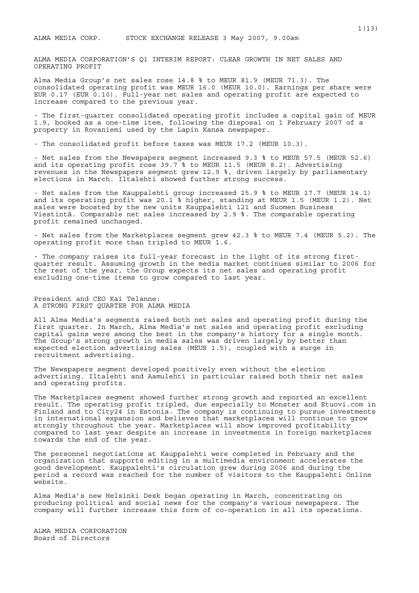ALMA MEDIA CORPORATION'S Q1 INTERIM REPORT: CLEAR GROWTH IN NET SALES AND OPERATING PROFIT

Alma Media Group's net sales rose 14.8 % to MEUR 81.9 (MEUR 71.3). The consolidated operating profit was MEUR 16.0 (MEUR 10.0). Earnings per share were EUR 0.17 (EUR 0.10). Full-year net sales and operating profit are expected to increase compared to the previous year.

- The first-quarter consolidated operating profit includes a capital gain of MEUR 1.9, booked as a one-time item, following the disposal on 1 February 2007 of a property in Rovaniemi used by the Lapin Kansa newspaper.

- The consolidated profit before taxes was MEUR 17.2 (MEUR 10.3).

- Net sales from the Newspapers segment increased 9.3 % to MEUR 57.5 (MEUR 52.6) and its operating profit rose 39.7 % to MEUR 11.5 (MEUR 8.2). Advertising revenues in the Newspapers segment grew 12.9 %, driven largely by parliamentary elections in March. Iltalehti showed further strong success.

- Net sales from the Kauppalehti group increased 25.9 % to MEUR 17.7 (MEUR 14.1) and its operating profit was 20.1 % higher, standing at MEUR 1.5 (MEUR 1.2). Net sales were boosted by the new units Kauppalehti 121 and Suomen Business Viestintä. Comparable net sales increased by 2.9 %. The comparable operating profit remained unchanged.

- Net sales from the Marketplaces segment grew 42.3 % to MEUR 7.4 (MEUR 5.2). The operating profit more than tripled to MEUR 1.6.

- The company raises its full-year forecast in the light of its strong firstquarter result. Assuming growth in the media market continues similar to 2006 for the rest of the year, the Group expects its net sales and operating profit excluding one-time items to grow compared to last year.

President and CEO Kai Telanne: A STRONG FIRST QUARTER FOR ALMA MEDIA

All Alma Media's segments raised both net sales and operating profit during the first quarter. In March, Alma Media's net sales and operating profit excluding capital gains were among the best in the company's history for a single month. The Group's strong growth in media sales was driven largely by better than expected election advertising sales (MEUR 1.5), coupled with a surge in recruitment advertising.

The Newspapers segment developed positively even without the election advertising. Iltalehti and Aamulehti in particular raised both their net sales and operating profits.

The Marketplaces segment showed further strong growth and reported an excellent result. The operating profit tripled, due especially to Monster and Etuovi.com in Finland and to City24 in Estonia. The company is continuing to pursue investments in international expansion and believes that marketplaces will continue to grow strongly throughout the year. Marketplaces will show improved profitability compared to last year despite an increase in investments in foreign marketplaces towards the end of the year.

The personnel negotiations at Kauppalehti were completed in February and the organization that supports editing in a multimedia environment accelerates the good development. Kauppalehti's circulation grew during 2006 and during the period a record was reached for the number of visitors to the Kauppalehti Online website.

Alma Media's new Helsinki Desk began operating in March, concentrating on producing political and social news for the company's various newspapers. The company will further increase this form of co-operation in all its operations.

ALMA MEDIA CORPORATION Board of Directors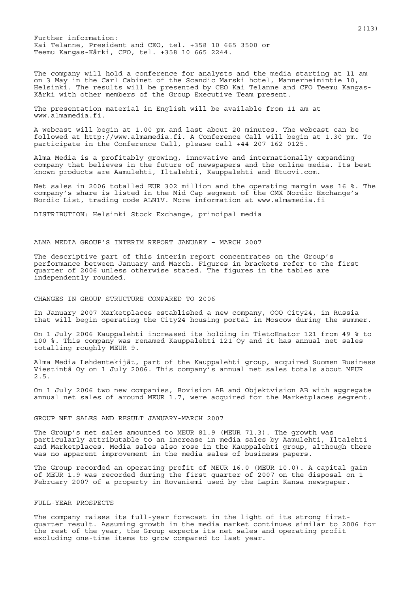Further information: Kai Telanne, President and CEO, tel. +358 10 665 3500 or Teemu Kangas-Kärki, CFO, tel. +358 10 665 2244.

The company will hold a conference for analysts and the media starting at 11 am on 3 May in the Carl Cabinet of the Scandic Marski hotel, Mannerheimintie 10, Helsinki. The results will be presented by CEO Kai Telanne and CFO Teemu Kangas-Kärki with other members of the Group Executive Team present.

The presentation material in English will be available from 11 am at www.almamedia.fi.

A webcast will begin at 1.00 pm and last about 20 minutes. The webcast can be followed at http://www.almamedia.fi. A Conference Call will begin at 1.30 pm. To participate in the Conference Call, please call +44 207 162 0125.

Alma Media is a profitably growing, innovative and internationally expanding company that believes in the future of newspapers and the online media. Its best known products are Aamulehti, Iltalehti, Kauppalehti and Etuovi.com.

Net sales in 2006 totalled EUR 302 million and the operating margin was 16 %. The company's share is listed in the Mid Cap segment of the OMX Nordic Exchange's Nordic List, trading code ALN1V. More information at www.almamedia.fi

DISTRIBUTION: Helsinki Stock Exchange, principal media

## ALMA MEDIA GROUP'S INTERIM REPORT JANUARY – MARCH 2007

The descriptive part of this interim report concentrates on the Group's performance between January and March. Figures in brackets refer to the first quarter of 2006 unless otherwise stated. The figures in the tables are independently rounded.

# CHANGES IN GROUP STRUCTURE COMPARED TO 2006

In January 2007 Marketplaces established a new company, OOO City24, in Russia that will begin operating the City24 housing portal in Moscow during the summer.

On 1 July 2006 Kauppalehti increased its holding in TietoEnator 121 from 49 % to 100 %. This company was renamed Kauppalehti 121 Oy and it has annual net sales totalling roughly MEUR 9.

Alma Media Lehdentekijät, part of the Kauppalehti group, acquired Suomen Business Viestintä Oy on 1 July 2006. This company's annual net sales totals about MEUR 2.5.

On 1 July 2006 two new companies, Bovision AB and Objektvision AB with aggregate annual net sales of around MEUR 1.7, were acquired for the Marketplaces segment.

#### GROUP NET SALES AND RESULT JANUARY-MARCH 2007

The Group's net sales amounted to MEUR 81.9 (MEUR 71.3). The growth was particularly attributable to an increase in media sales by Aamulehti, Iltalehti and Marketplaces. Media sales also rose in the Kauppalehti group, although there was no apparent improvement in the media sales of business papers.

The Group recorded an operating profit of MEUR 16.0 (MEUR 10.0). A capital gain of MEUR 1.9 was recorded during the first quarter of 2007 on the disposal on 1 February 2007 of a property in Rovaniemi used by the Lapin Kansa newspaper.

## FULL-YEAR PROSPECTS

The company raises its full-year forecast in the light of its strong firstquarter result. Assuming growth in the media market continues similar to 2006 for the rest of the year, the Group expects its net sales and operating profit excluding one-time items to grow compared to last year.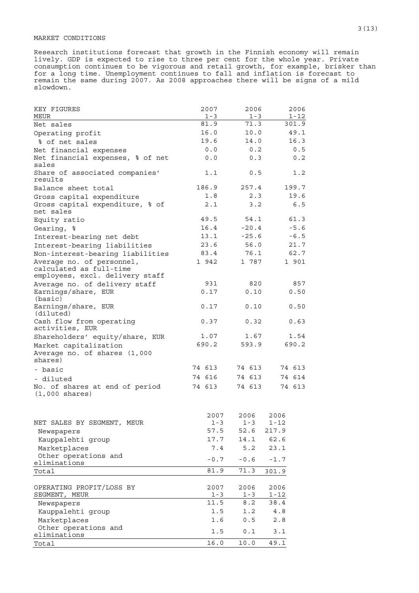## MARKET CONDITIONS

Research institutions forecast that growth in the Finnish economy will remain lively. GDP is expected to rise to three per cent for the whole year. Private consumption continues to be vigorous and retail growth, for example, brisker than for a long time. Unemployment continues to fall and inflation is forecast to remain the same during 2007. As 2008 approaches there will be signs of a mild slowdown.

| KEY FIGURES<br>MEUR                                              | 2007<br>$1 - 3$ | 2006<br>$1 - 3$ | 2006<br>$1 - 12$ |
|------------------------------------------------------------------|-----------------|-----------------|------------------|
| Net sales                                                        | 81.9            | 71.3            | 301.9            |
| Operating profit                                                 | 16.0            | 10.0            | 49.1             |
| % of net sales                                                   | 19.6            | 14.0            | 16.3             |
| Net financial expenses                                           | 0.0             | 0.2             | 0.5              |
| Net financial expenses, % of net<br>sales                        | 0.0             | 0.3             | 0.2              |
| Share of associated companies'<br>results                        | 1.1             | 0.5             | 1.2              |
| Balance sheet total                                              | 186.9           | 257.4           | 199.7            |
| Gross capital expenditure                                        | 1.8             | 2.3             | 19.6             |
| Gross capital expenditure, % of<br>net sales                     | 2.1             | 3.2             | 6.5              |
| Equity ratio                                                     | 49.5            | 54.1            | 61.3             |
| Gearing, %                                                       | 16.4            | $-20.4$         | $-5.6$           |
| Interest-bearing net debt                                        | 13.1            | $-25.6$         | $-6.5$           |
| Interest-bearing liabilities                                     | 23.6            | 56.0            | 21.7             |
| Non-interest-bearing liabilities                                 | 83.4            | 76.1            | 62.7             |
| Average no. of personnel,<br>calculated as full-time             | 1 942           | 1 787           | 1 901            |
| employees, excl. delivery staff                                  |                 |                 |                  |
| Average no. of delivery staff                                    | 931             | 820             | 857              |
| Earnings/share, EUR<br>(basic)                                   | 0.17            | 0.10            | 0.50             |
| Earnings/share, EUR<br>(diluted)                                 | 0.17            | 0.10            | 0.50             |
| Cash flow from operating<br>activities, EUR                      | 0.37            | 0.32            | 0.63             |
| Shareholders' equity/share, EUR                                  | 1.07            | 1.67            | 1.54             |
| Market capitalization<br>Average no. of shares (1,000<br>shares) | 690.2           | 593.9           | 690.2            |
| - basic                                                          | 74 613          | 74 613          | 74 613           |
| - diluted                                                        | 74 616          | 74 613          | 74 614           |
| No. of shares at end of period<br>$(1,000 \text{ shares})$       | 74 613          | 74 613          | 74 613           |
|                                                                  | 2007            | 2006            | 2006             |
| NET SALES BY SEGMENT, MEUR                                       | $1 - 3$         | $1 - 3$         | $1 - 12$         |
| Newspapers                                                       | 57.5            | 52.6            | 217.9            |
| Kauppalehti group                                                | 17.7            | 14.1            | 62.6             |
| Marketplaces                                                     | 7.4             | 5.2             | 23.1             |
| Other operations and<br>eliminations                             | $-0.7$          | $-0.6$          | $-1.7$           |
| Total                                                            | 81.9            | 71.3            | 301.9            |
| OPERATING PROFIT/LOSS BY<br>SEGMENT, MEUR                        | 2007<br>$1 - 3$ | 2006<br>$1 - 3$ | 2006<br>$1 - 12$ |
| Newspapers                                                       | 11.5            | 8.2             | 38.4             |
| Kauppalehti group                                                | 1.5             | 1.2             | $4\;.8$          |
| Marketplaces                                                     | 1.6             | 0.5             | 2.8              |
| Other operations and<br>eliminations                             | 1.5             | 0.1             | 3.1              |
| Total                                                            | 16.0            | 10.0            | 49.1             |
|                                                                  |                 |                 |                  |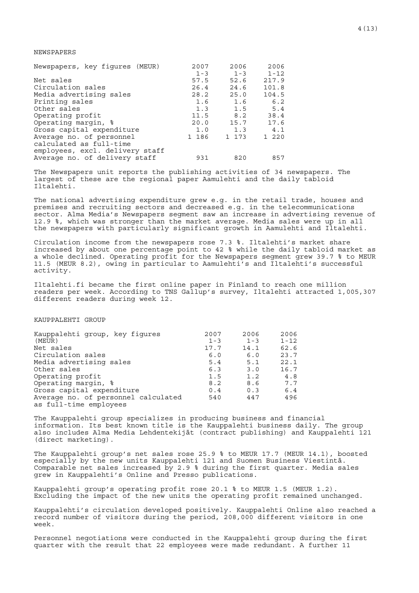# NEWSPAPERS

| Newspapers, key figures (MEUR)  | 2007    | 2006    | 2006     |
|---------------------------------|---------|---------|----------|
|                                 | $1 - 3$ | $1 - 3$ | $1 - 12$ |
| Net sales                       | 57.5    | 52.6    | 217.9    |
| Circulation sales               | 26.4    | 24.6    | 101.8    |
| Media advertising sales         | 28.2    | 25.0    | 104.5    |
| Printing sales                  | 1.6     | 1.6     | 6.2      |
| Other sales                     | 1.3     | 1.5     | 5.4      |
| Operating profit                | 11.5    | 8.2     | 38.4     |
| Operating margin, %             | 20.0    | 15.7    | 17.6     |
| Gross capital expenditure       | 1.0     | 1.3     | 4.1      |
| Average no. of personnel        | 1 186   | 1 173   | 1 220    |
| calculated as full-time         |         |         |          |
| employees, excl. delivery staff |         |         |          |
| Average no. of delivery staff   | 931     | 820     | 857      |

The Newspapers unit reports the publishing activities of 34 newspapers. The largest of these are the regional paper Aamulehti and the daily tabloid Iltalehti.

The national advertising expenditure grew e.g. in the retail trade, houses and premises and recruiting sectors and decreased e.g. in the telecommunications sector. Alma Media's Newspapers segment saw an increase in advertising revenue of 12.9 %, which was stronger than the market average. Media sales were up in all the newspapers with particularly significant growth in Aamulehti and Iltalehti.

Circulation income from the newspapers rose 7.3 %. Iltalehti's market share increased by about one percentage point to 42 % while the daily tabloid market as a whole declined. Operating profit for the Newspapers segment grew 39.7 % to MEUR 11.5 (MEUR 8.2), owing in particular to Aamulehti's and Iltalehti's successful activity.

Iltalehti.fi became the first online paper in Finland to reach one million readers per week. According to TNS Gallup's survey, Iltalehti attracted 1,005,307 different readers during week 12.

## KAUPPALEHTI GROUP

| Kauppalehti group, key figures      | 2007    | 2006    | 2006     |
|-------------------------------------|---------|---------|----------|
| (MEUR)                              | $1 - 3$ | $1 - 3$ | $1 - 12$ |
| Net sales                           | 17.7    | 14.1    | 62.6     |
| Circulation sales                   | 6.0     | 6.0     | 23.7     |
| Media advertising sales             | 5.4     | 5.1     | 22.1     |
| Other sales                         | 6.3     | 3.0     | 16.7     |
| Operating profit                    | 1.5     | 1.2     | 4.8      |
| Operating margin, %                 | 8.2     | 8.6     | 7.7      |
| Gross capital expenditure           | 0.4     | 0.3     | 6.4      |
| Average no. of personnel calculated | 540     | 447     | 496      |
| as full-time employees              |         |         |          |

The Kauppalehti group specializes in producing business and financial information. Its best known title is the Kauppalehti business daily. The group also includes Alma Media Lehdentekijät (contract publishing) and Kauppalehti 121 (direct marketing).

The Kauppalehti group's net sales rose 25.9 % to MEUR 17.7 (MEUR 14.1), boosted especially by the new units Kauppalehti 121 and Suomen Business Viestintä. Comparable net sales increased by 2.9 % during the first quarter. Media sales grew in Kauppalehti's Online and Presso publications.

Kauppalehti group's operating profit rose 20.1 % to MEUR 1.5 (MEUR 1.2). Excluding the impact of the new units the operating profit remained unchanged.

Kauppalehti's circulation developed positively. Kauppalehti Online also reached a record number of visitors during the period, 208,000 different visitors in one week.

Personnel negotiations were conducted in the Kauppalehti group during the first quarter with the result that 22 employees were made redundant. A further 11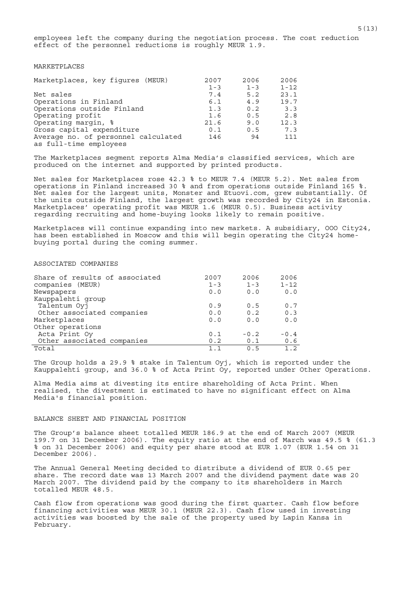employees left the company during the negotiation process. The cost reduction effect of the personnel reductions is roughly MEUR 1.9.

# MARKETPLACES

| Marketplaces, key figures (MEUR)    | 2007    | 2006    | 2006     |
|-------------------------------------|---------|---------|----------|
|                                     | $1 - 3$ | $1 - 3$ | $1 - 12$ |
| Net sales                           | 7.4     | 5.2     | 23.1     |
| Operations in Finland               | 6.1     | 4.9     | 19.7     |
| Operations outside Finland          | 1.3     | 0.2     | 3.3      |
| Operating profit                    | 1.6     | 0.5     | 2.8      |
| Operating margin, %                 | 21.6    | 9.0     | 12.3     |
| Gross capital expenditure           | 0.1     | 0.5     | 7.3      |
| Average no. of personnel calculated | 146     | 94      | 111      |
| as full-time employees              |         |         |          |

The Marketplaces segment reports Alma Media's classified services, which are produced on the internet and supported by printed products.

Net sales for Marketplaces rose 42.3 % to MEUR 7.4 (MEUR 5.2). Net sales from operations in Finland increased 30 % and from operations outside Finland 165 %. Net sales for the largest units, Monster and Etuovi.com, grew substantially. Of the units outside Finland, the largest growth was recorded by City24 in Estonia. Marketplaces' operating profit was MEUR 1.6 (MEUR 0.5). Business activity regarding recruiting and home-buying looks likely to remain positive.

Marketplaces will continue expanding into new markets. A subsidiary, 000 City24, has been established in Moscow and this will begin operating the City24 homebuying portal during the coming summer.

## ASSOCIATED COMPANIES

| Share of results of associated | 2007    | 2006    | 2006     |
|--------------------------------|---------|---------|----------|
| companies (MEUR)               | $1 - 3$ | $1 - 3$ | $1 - 12$ |
| Newspapers                     | 0.0     | 0.0     | 0.0      |
| Kauppalehti group              |         |         |          |
| Talentum Oyj                   | 0.9     | 0.5     | 0.7      |
| Other associated companies     | 0.0     | 0.2     | 0.3      |
| Marketplaces                   | 0.0     | 0.0     | 0.0      |
| Other operations               |         |         |          |
| Acta Print Oy                  | 0.1     | $-0.2$  | $-0.4$   |
| Other associated companies     | 0.2     | 0.1     | 0.6      |
| Total                          | 1 1     | 0 5     | 1.2      |

The Group holds a 29.9 % stake in Talentum Oyj, which is reported under the Kauppalehti group, and 36.0 % of Acta Print Oy, reported under Other Operations.

Alma Media aims at divesting its entire shareholding of Acta Print. When realised, the divestment is estimated to have no significant effect on Alma Media's financial position.

## BALANCE SHEET AND FINANCIAL POSITION

The Group's balance sheet totalled MEUR 186.9 at the end of March 2007 (MEUR 199.7 on 31 December 2006). The equity ratio at the end of March was 49.5 % (61.3 % on 31 December 2006) and equity per share stood at EUR 1.07 (EUR 1.54 on 31 December 2006).

The Annual General Meeting decided to distribute a dividend of EUR 0.65 per share. The record date was 13 March 2007 and the dividend payment date was 20 March 2007. The dividend paid by the company to its shareholders in March totalled MEUR 48.5.

Cash flow from operations was good during the first quarter. Cash flow before financing activities was MEUR 30.1 (MEUR 22.3). Cash flow used in investing activities was boosted by the sale of the property used by Lapin Kansa in February.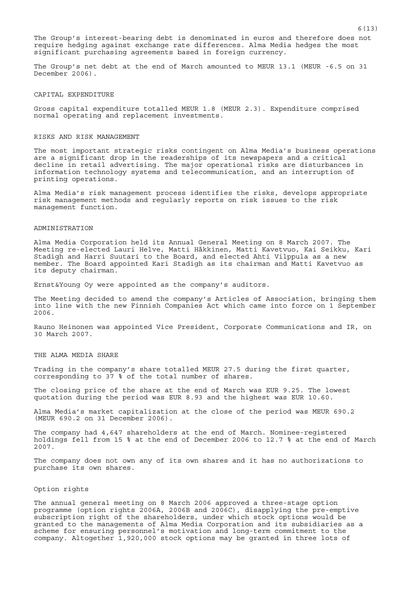The Group's interest-bearing debt is denominated in euros and therefore does not require hedging against exchange rate differences. Alma Media hedges the most significant purchasing agreements based in foreign currency.

The Group's net debt at the end of March amounted to MEUR 13.1 (MEUR -6.5 on 31 December<sup>2006</sup>).

#### CAPITAL EXPENDITURE

Gross capital expenditure totalled MEUR 1.8 (MEUR 2.3). Expenditure comprised normal operating and replacement investments.

## RISKS AND RISK MANAGEMENT

The most important strategic risks contingent on Alma Media's business operations are a significant drop in the readerships of its newspapers and a critical decline in retail advertising. The major operational risks are disturbances in information technology systems and telecommunication, and an interruption of printing operations.

Alma Media's risk management process identifies the risks, develops appropriate risk management methods and regularly reports on risk issues to the risk management function.

# ADMINISTRATION

Alma Media Corporation held its Annual General Meeting on 8 March 2007. The Meeting re-elected Lauri Helve, Matti Häkkinen, Matti Kavetvuo, Kai Seikku, Kari Stadigh and Harri Suutari to the Board, and elected Ahti Vilppula as a new member. The Board appointed Kari Stadigh as its chairman and Matti Kavetvuo as its deputy chairman.

Ernst&Young Oy were appointed as the company's auditors.

The Meeting decided to amend the company's Articles of Association, bringing them into line with the new Finnish Companies Act which came into force on 1 September 2006.

Rauno Heinonen was appointed Vice President, Corporate Communications and IR, on 30 March 2007.

#### THE ALMA MEDIA SHARE

Trading in the company's share totalled MEUR 27.5 during the first quarter, corresponding to 37 % of the total number of shares.

The closing price of the share at the end of March was EUR 9.25. The lowest quotation during the period was EUR 8.93 and the highest was EUR 10.60.

Alma Media's market capitalization at the close of the period was MEUR 690.2 (MEUR 690.2 on 31 December 2006).

The company had 4,647 shareholders at the end of March. Nominee-registered holdings fell from 15 % at the end of December 2006 to 12.7 % at the end of March 2007.

The company does not own any of its own shares and it has no authorizations to purchase its own shares.

## Option rights

The annual general meeting on 8 March 2006 approved a three-stage option programme (option rights 2006A, 2006B and 2006C), disapplying the pre-emptive subscription right of the shareholders, under which stock options would be granted to the managements of Alma Media Corporation and its subsidiaries as a scheme for ensuring personnel's motivation and long-term commitment to the company. Altogether 1,920,000 stock options may be granted in three lots of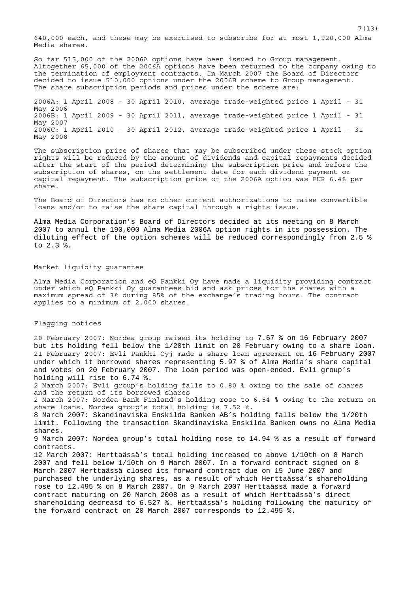640,000 each, and these may be exercised to subscribe for at most 1,920,000 Alma Media shares.

So far 515,000 of the 2006A options have been issued to Group management. Altogether 65,000 of the 2006A options have been returned to the company owing to the termination of employment contracts. In March 2007 the Board of Directors decided to issue 510,000 options under the 2006B scheme to Group management. The share subscription periods and prices under the scheme are:

2006A: 1 April 2008 - 30 April 2010, average trade-weighted price 1 April - 31 May 2006 2006B: 1 April 2009 - 30 April 2011, average trade-weighted price 1 April - 31 May 2007 2006C: 1 April 2010 - 30 April 2012, average trade-weighted price 1 April - 31 May 2008

The subscription price of shares that may be subscribed under these stock option rights will be reduced by the amount of dividends and capital repayments decided after the start of the period determining the subscription price and before the subscription of shares, on the settlement date for each dividend payment or capital repayment. The subscription price of the 2006A option was EUR 6.48 per share.

The Board of Directors has no other current authorizations to raise convertible loans and/or to raise the share capital through a rights issue.

Alma Media Corporation's Board of Directors decided at its meeting on 8 March 2007 to annul the 190,000 Alma Media 2006A option rights in its possession. The diluting effect of the option schemes will be reduced correspondingly from 2.5 % to 2.3 %.

## Market liquidity guarantee

Alma Media Corporation and eQ Pankki Oy have made a liquidity providing contract under which eQ Pankki Oy guarantees bid and ask prices for the shares with a maximum spread of 3% during 85% of the exchange's trading hours. The contract applies to a minimum of 2,000 shares.

## Flagging notices

20 February 2007: Nordea group raised its holding to 7.67 % on 16 February 2007 but its holding fell below the 1/20th limit on 20 February owing to a share loan. 21 February 2007: Evli Pankki Oyj made a share loan agreement on 16 February 2007 under which it borrowed shares representing 5.97 % of Alma Media's share capital and votes on 20 February 2007. The loan period was open-ended. Evli group's holding will rise to 6.74 %.

2 March 2007: Evli group's holding falls to 0.80 % owing to the sale of shares and the return of its borrowed shares

2 March 2007: Nordea Bank Finland's holding rose to 6.54 % owing to the return on share loans. Nordea group's total holding is 7.52 %.

8 March 2007: Skandinaviska Enskilda Banken AB's holding falls below the 1/20th limit. Following the transaction Skandinaviska Enskilda Banken owns no Alma Media shares.

9 March 2007: Nordea group's total holding rose to 14.94 % as a result of forward contracts.

12 March 2007: Herttaässä's total holding increased to above 1/10th on 8 March 2007 and fell below 1/10th on 9 March 2007. In a forward contract signed on 8 March 2007 Herttaässä closed its forward contract due on 15 June 2007 and purchased the underlying shares, as a result of which Herttaässä's shareholding rose to 12.495 % on 8 March 2007. On 9 March 2007 Herttaässä made a forward contract maturing on 20 March 2008 as a result of which Herttaässä's direct shareholding decreasd to 6.527 %. Herttaässä's holding following the maturity of the forward contract on 20 March 2007 corresponds to 12.495 %.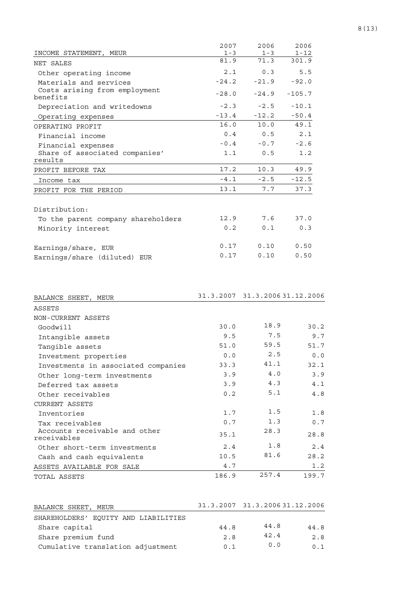|                                                         | 2007            | 2006                           | 2006              |
|---------------------------------------------------------|-----------------|--------------------------------|-------------------|
| INCOME STATEMENT,<br>MEUR                               | $1 - 3$<br>81.9 | $1 - 3$<br>71.3                | $1 - 12$<br>301.9 |
| NET SALES                                               |                 |                                |                   |
| Other operating income                                  | 2.1             | 0.3                            | 5.5               |
| Materials and services<br>Costs arising from employment | $-24.2$         | $-21.9$                        | $-92.0$           |
| benefits                                                | $-28.0$         | $-24.9$                        | $-105.7$          |
| Depreciation and writedowns                             | $-2.3$          | $-2.5$                         | $-10.1$           |
| Operating expenses                                      | $-13.4$         | $-12.2$                        | $-50.4$           |
| OPERATING PROFIT                                        | 16.0            | 10.0                           | 49.1              |
| Financial income                                        | 0.4             | 0.5                            | 2.1               |
| Financial expenses                                      | $-0.4$          | $-0.7$                         | $-2.6$            |
| Share of associated companies'                          | 1.1             | 0.5                            | 1.2               |
| results<br>PROFIT BEFORE TAX                            | 17.2            | 10.3                           | 49.9              |
| Income tax                                              | $-4.1$          | $-2.5$                         | $-12.5$           |
| PROFIT FOR THE PERIOD                                   | 13.1            | 7.7                            | 37.3              |
|                                                         |                 |                                |                   |
| Distribution:                                           |                 |                                |                   |
| To the parent company shareholders                      | 12.9            | 7.6                            | 37.0              |
| Minority interest                                       | 0.2             | 0.1                            | 0.3               |
|                                                         |                 |                                |                   |
| Earnings/share, EUR                                     | 0.17            | 0.10                           | 0.50              |
| Earnings/share (diluted) EUR                            | 0.17            | 0.10                           | 0.50              |
| BALANCE SHEET,<br>MEUR                                  |                 | 31.3.2007 31.3.2006 31.12.2006 |                   |
| ASSETS                                                  |                 |                                |                   |
| NON-CURRENT ASSETS                                      |                 |                                |                   |
| Goodwill                                                | 30.0            | 18.9                           | 30.2              |
| Intangible assets                                       | 9.5             | 7.5                            | 9.7               |
| Tangible assets                                         | 51.0            | 59.5                           | 51.7              |
| Investment properties                                   | 0.0             | 2.5                            | 0.0               |
| Investments in associated companies                     | 33.3            | 41.1                           | 32.1              |
| Other long-term investments                             | 3.9             | $4.0$                          | 3.9               |
| Deferred tax assets                                     | 3.9             | 4.3                            | 4.1               |
| Other receivables                                       | 0.2             | 5.1                            | 4.8               |
| <b>CURRENT ASSETS</b>                                   |                 | 1.5                            |                   |
| Inventories                                             | 1.7             | 1.3                            | 1.8<br>0.7        |
| Tax receivables<br>Accounts receivable and other        | 0.7             | 28.3                           |                   |
| receivables                                             | 35.1            |                                | 28.8              |
| Other short-term investments                            | 2.4             | 1.8                            | 2.4               |
| Cash and cash equivalents                               | 10.5            | 81.6                           | 28.2              |
| ASSETS AVAILABLE FOR SALE                               | $4\,.7$         |                                | 1.2               |
| TOTAL ASSETS                                            | 186.9           | 257.4                          | 199.7             |
| BALANCE SHEET, MEUR                                     |                 | 31.3.2007 31.3.2006 31.12.2006 |                   |
| SHAREHOLDERS' EQUITY AND LIABILITIES                    |                 |                                |                   |
| Share capital                                           | 44.8            | 44.8                           | 44.8              |
| Share premium fund                                      | 2.8             | 42.4                           | 2.8               |
| Cumulative translation adjustment                       | 0.1             | 0.0                            | 0.1               |

Cumulative translation adjustment  $0.1$   $0.0$   $0.1$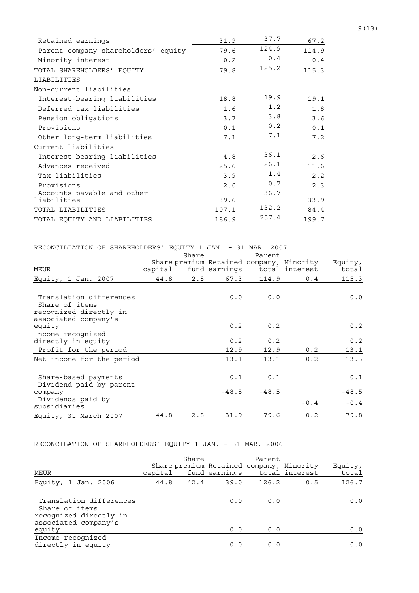| Retained earnings                   | 31.9        | 37.7  | 67.2  |
|-------------------------------------|-------------|-------|-------|
| Parent company shareholders' equity | 79.6        | 124.9 | 114.9 |
| Minority interest                   | 0.2         | 0.4   | 0.4   |
| TOTAL SHAREHOLDERS' EOUITY          | 79.8        | 125.2 | 115.3 |
| LIABILITIES                         |             |       |       |
| Non-current liabilities             |             |       |       |
| Interest-bearing liabilities        | 18.8        | 19.9  | 19.1  |
| Deferred tax liabilities            | 1.6         | 1.2   | 1.8   |
| Pension obligations                 | 3.7         | 3.8   | 3.6   |
| Provisions                          | 0.1         | 0.2   | 0.1   |
| Other long-term liabilities         | 7.1         | 7.1   | 7.2   |
| Current liabilities                 |             |       |       |
| Interest-bearing liabilities        | 4.8         | 36.1  | 2.6   |
| Advances received                   | 25.6        | 26.1  | 11.6  |
| Tax liabilities                     | 3.9         | 1.4   | 2.2   |
| Provisions                          | $2 \cdot 0$ | 0.7   | 2.3   |
| Accounts payable and other          |             | 36.7  |       |
| liabilities                         | 39.6        |       | 33.9  |
| TOTAL LIABILITIES                   | 107.1       | 132.2 | 84.4  |
| TOTAL EQUITY AND LIABILITIES        | 186.9       | 257.4 | 199.7 |

| RECONCILIATION OF SHAREHOLDERS' EQUITY 1 JAN. - 31 MAR. 2007 |         |       |               |         |                                          |         |
|--------------------------------------------------------------|---------|-------|---------------|---------|------------------------------------------|---------|
|                                                              |         | Share |               | Parent  |                                          |         |
|                                                              |         |       |               |         | Share premium Retained company, Minority | Equity, |
| <b>MEUR</b>                                                  | capital |       | fund earnings |         | total interest                           | total   |
| Equity, 1 Jan. 2007                                          | 44.8    | 2.8   | 67.3          | 114.9   | 0.4                                      | 115.3   |
|                                                              |         |       |               |         |                                          |         |
| Translation differences                                      |         |       | 0.0           | 0.0     |                                          | 0.0     |
| Share of items<br>recognized directly in                     |         |       |               |         |                                          |         |
| associated company's                                         |         |       |               |         |                                          |         |
| equity                                                       |         |       | 0.2           | 0.2     |                                          | 0.2     |
| Income recognized                                            |         |       |               |         |                                          |         |
| directly in equity                                           |         |       | 0.2           | 0.2     |                                          | 0.2     |
| Profit for the period                                        |         |       | 12.9          | 12.9    | 0.2                                      | 13.1    |
| Net income for the period                                    |         |       | 13.1          | 13.1    | 0.2                                      | 13.3    |
|                                                              |         |       |               |         |                                          |         |
| Share-based payments                                         |         |       | 0.1           | 0.1     |                                          | 0.1     |
| Dividend paid by parent                                      |         |       |               |         |                                          |         |
| company                                                      |         |       | $-48.5$       | $-48.5$ |                                          | $-48.5$ |
| Dividends paid by                                            |         |       |               |         |                                          |         |
| subsidiaries                                                 |         |       |               |         | $-0.4$                                   | $-0.4$  |
| Equity, 31 March 2007                                        | 44.8    | 2.8   | 31.9          | 79.6    | 0.2                                      | 79.8    |

# RECONCILATION OF SHAREHOLDERS' EQUITY 1 JAN. – 31 MAR. 2006

| MEUR                                                                                        | capital | Share | Share premium Retained company, Minority<br>fund earnings | Parent | total interest | Equity,<br>total |
|---------------------------------------------------------------------------------------------|---------|-------|-----------------------------------------------------------|--------|----------------|------------------|
| Equity, 1 Jan. 2006                                                                         | 44.8    | 42.4  | 39.0                                                      | 126.2  | 0.5            | 126.7            |
| Translation differences<br>Share of items<br>recognized directly in<br>associated company's |         |       | 0.0                                                       | 0.0    |                | 0.0              |
| equity                                                                                      |         |       | 0.0                                                       | 0.0    |                | 0.0              |
| Income recognized<br>directly in equity                                                     |         |       | 0.0                                                       | 0.0    |                | 0.0              |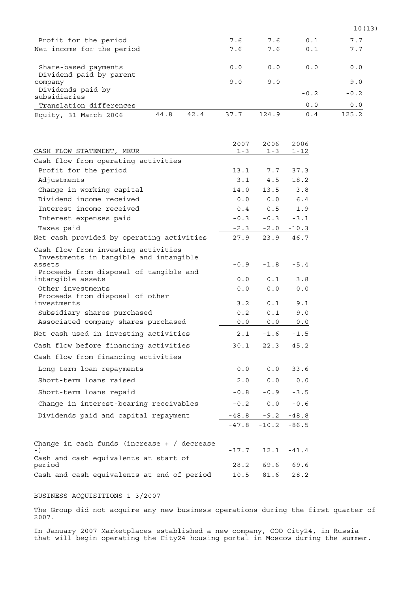| Profit for the period                                                                   | 7.6           | 7.6           | 0.1             | 7.7    |
|-----------------------------------------------------------------------------------------|---------------|---------------|-----------------|--------|
| Net income for the period                                                               | 7.6           | 7.6           | 0.1             | 7.7    |
| Share-based payments<br>Dividend paid by parent                                         | 0.0           | 0.0           | 0.0             | 0.0    |
| company                                                                                 | $-9.0$        | $-9.0$        |                 | $-9.0$ |
| Dividends paid by<br>subsidiaries                                                       |               |               | $-0.2$          | $-0.2$ |
| Translation differences                                                                 |               |               | 0.0             | 0.0    |
| 42.4<br>44.8<br>Equity, 31 March 2006                                                   | 37.7          | 124.9         | 0.4             | 125.2  |
|                                                                                         | 2007          | 2006          | 2006            |        |
| CASH FLOW STATEMENT, MEUR                                                               | $1 - 3$       | $1 - 3$       | 1-12            |        |
| Cash flow from operating activities                                                     |               |               |                 |        |
| Profit for the period<br>Adjustments                                                    | 13.1<br>3.1   | 7.7<br>4.5    | 37.3<br>18.2    |        |
| Change in working capital                                                               | 14.0          | 13.5          | $-3.8$          |        |
| Dividend income received                                                                | 0.0           | 0.0           | 6.4             |        |
| Interest income received                                                                | 0.4           | 0.5           | 1.9             |        |
| Interest expenses paid                                                                  | $-0.3$        | $-0.3$        | $-3.1$          |        |
| Taxes paid                                                                              | $-2.3$        | $-2.0$        | $-10.3$         |        |
| Net cash provided by operating activities                                               | 27.9          | 23.9          | 46.7            |        |
| Cash flow from investing activities<br>Investments in tangible and intangible<br>assets | $-0.9$        | $-1.8$        | $-5.4$          |        |
| Proceeds from disposal of tangible and<br>intangible assets                             | 0.0           | 0.1           | 3.8             |        |
| Other investments<br>Proceeds from disposal of other                                    | 0.0           | 0.0           | 0.0             |        |
| investments                                                                             | 3.2           | 0.1           | 9.1             |        |
| Subsidiary shares purchased<br>Associated company shares purchased                      | $-0.2$<br>0.0 | $-0.1$<br>0.0 | $-9.0$<br>$0.0$ |        |
| Net cash used in investing activities                                                   | 2.1           | $-1.6$        | $-1.5$          |        |
| Cash flow before financing activities                                                   | 30.1          | 22.3          | 45.2            |        |
| Cash flow from financing activities                                                     |               |               |                 |        |
| Long-term loan repayments                                                               | 0.0           | 0.0           | $-33.6$         |        |
| Short-term loans raised                                                                 | $2 \, . \, 0$ | 0.0           | 0.0             |        |
| Short-term loans repaid                                                                 | $-0.8$        | $-0.9$        | $-3.5$          |        |
| Change in interest-bearing receivables                                                  | $-0.2$        | 0.0           | $-0.6$          |        |
| Dividends paid and capital repayment                                                    | $-48.8$       | $-9.2$        | $-48.8$         |        |
|                                                                                         | $-47.8$       | $-10.2$       | $-86.5$         |        |
| Change in cash funds (increase $+$ / decrease<br>$-$ )                                  | $-17.7$       | 12.1          | $-41.4$         |        |
| Cash and cash equivalents at start of                                                   |               |               |                 |        |
| period<br>Cash and cash equivalents at end of period                                    | 28.2<br>10.5  | 69.6<br>81.6  | 69.6<br>28.2    |        |
|                                                                                         |               |               |                 |        |

# BUSINESS ACQUISITIONS 1-3/2007

The Group did not acquire any new business operations during the first quarter of 2007.

In January 2007 Marketplaces established a new company, OOO City24, in Russia that will begin operating the City24 housing portal in Moscow during the summer.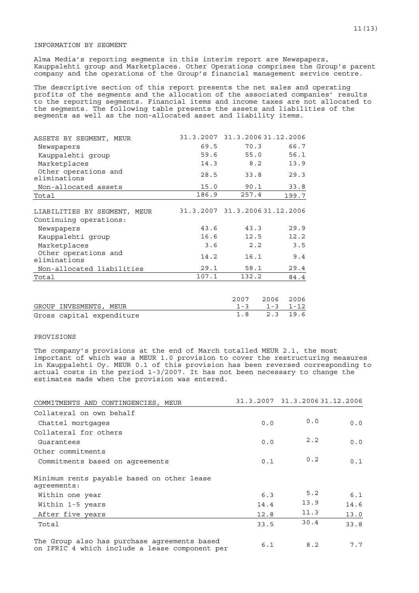## INFORMATION BY SEGMENT

Alma Media's reporting segments in this interim report are Newspapers, Kauppalehti group and Marketplaces. Other Operations comprises the Group's parent company and the operations of the Group's financial management service centre.

The descriptive section of this report presents the net sales and operating profits of the segments and the allocation of the associated companies' results to the reporting segments. Financial items and income taxes are not allocated to the segments. The following table presents the assets and liabilities of the segments as well as the non-allocated asset and liability items.

| ASSETS BY SEGMENT, MEUR              |       | 31.3.2007 31.3.2006 31.12.2006 |              |
|--------------------------------------|-------|--------------------------------|--------------|
| Newspapers                           | 69.5  | 70.3                           | 66.7         |
| Kauppalehti group                    | 59.6  | 55.0                           | 56.1         |
| Marketplaces                         | 14.3  | 8.2                            | 13.9         |
| Other operations and<br>eliminations | 28.5  | 33.8                           | 29.3         |
| Non-allocated assets                 | 15.0  | 90.1                           | 33.8         |
| Total                                | 186.9 | 257.4                          | 199.7        |
|                                      |       |                                |              |
| LIABILITIES BY SEGMENT,<br>MEUR      |       | 31.3.2007 31.3.2006 31.12.2006 |              |
| Continuing operations:               |       |                                |              |
| Newspapers                           | 43.6  | 43.3                           | 29.9         |
| Kauppalehti qroup                    | 16.6  | 12.5                           | 12.2         |
| Marketplaces                         | 3.6   | 2.2                            | 3.5          |
| Other operations and<br>eliminations | 14.2  | 16.1                           | 9.4          |
| Non-allocated liabilities            | 29.1  | 58.1                           | 29.4         |
| Total                                | 107.1 | 132.2                          | 84.4         |
|                                      |       |                                |              |
|                                      |       | 2007                           | 2006<br>2006 |

|                           | zuu zuus zuus      |  |
|---------------------------|--------------------|--|
| GROUP INVESMENTS, MEUR    | $1-3$ $1-3$ $1-12$ |  |
| Gross capital expenditure | 1.8 2.3 19.6       |  |

## PROVISIONS

The company's provisions at the end of March totalled MEUR 2.1, the most important of which was a MEUR 1.0 provision to cover the restructuring measures in Kauppalehti Oy. MEUR 0.1 of this provision has been reversed corresponding to actual costs in the period 1-3/2007. It has not been necessary to change the estimates made when the provision was entered.

| COMMITMENTS AND CONTINGENCIES, MEUR                                                            |      | 31.3.2007 31.3.2006 31.12.2006 |      |
|------------------------------------------------------------------------------------------------|------|--------------------------------|------|
| Collateral on own behalf                                                                       |      |                                |      |
| Chattel mortgages                                                                              | 0.0  | 0.0                            | 0.0  |
| Collateral for others                                                                          |      |                                |      |
| Guarantees                                                                                     | 0.0  | 2.2                            | 0.0  |
| Other commitments                                                                              |      |                                |      |
| Commitments based on agreements                                                                | 0.1  | 0.2                            | 0.1  |
| Minimum rents payable based on other lease<br>agreements:                                      |      |                                |      |
| Within one year                                                                                | 6.3  | 5.2                            | 6.1  |
| Within 1-5 years                                                                               | 14.4 | 13.9                           | 14.6 |
| After five years                                                                               | 12.8 | 11.3                           | 13.0 |
| Total                                                                                          | 33.5 | 30.4                           | 33.8 |
| The Group also has purchase agreements based<br>on IFRIC 4 which include a lease component per | 6.1  | 8.2                            | 7.7  |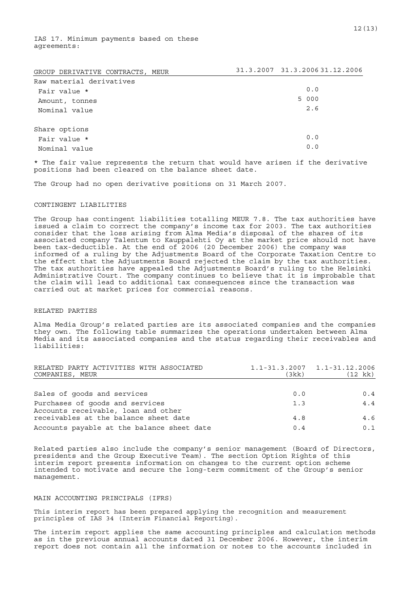IAS 17. Minimum payments based on these agreements:

| GROUP DERIVATIVE CONTRACTS, MEUR | 31.3.2007 31.3.2006 31.12.2006 |
|----------------------------------|--------------------------------|
| Raw material derivatives         |                                |
| Fair value *                     | 0.0                            |
| Amount, tonnes                   | 5 000                          |
| Nominal value                    | 2.6                            |
| Share options                    |                                |
| Fair value *                     | 0.0                            |
| Nominal value                    | 0.0                            |

\* The fair value represents the return that would have arisen if the derivative positions had been cleared on the balance sheet date.

The Group had no open derivative positions on 31 March 2007.

## CONTINGENT LIABILITIES

The Group has contingent liabilities totalling MEUR 7.8. The tax authorities have issued a claim to correct the company's income tax for 2003. The tax authorities consider that the loss arising from Alma Media's disposal of the shares of its associated company Talentum to Kauppalehti Oy at the market price should not have been tax-deductible. At the end of 2006 (20 December 2006) the company was informed of a ruling by the Adjustments Board of the Corporate Taxation Centre to the effect that the Adjustments Board rejected the claim by the tax authorities. The tax authorities have appealed the Adjustments Board's ruling to the Helsinki Administrative Court. The company continues to believe that it is improbable that the claim will lead to additional tax consequences since the transaction was carried out at market prices for commercial reasons.

## RELATED PARTIES

Alma Media Group's related parties are its associated companies and the companies they own. The following table summarizes the operations undertaken between Alma Media and its associated companies and the status regarding their receivables and liabilities:

| RELATED PARTY ACTIVITIES WITH ASSOCIATED<br>COMPANIES, MEUR            | (3kk) | $1.1 - 31.3.2007$ $1.1 - 31.12.2006$<br>(12 kk) |
|------------------------------------------------------------------------|-------|-------------------------------------------------|
|                                                                        |       |                                                 |
| Sales of goods and services                                            | 0.0   | 0.4                                             |
| Purchases of goods and services<br>Accounts receivable, loan and other | 1.3   | 4.4                                             |
| receivables at the balance sheet date                                  | 4.8   | 4.6                                             |
| Accounts payable at the balance sheet date                             | 0.4   | 0.1                                             |

Related parties also include the company's senior management (Board of Directors, presidents and the Group Executive Team). The section Option Rights of this interim report presents information on changes to the current option scheme intended to motivate and secure the long-term commitment of the Group's senior management.

## MAIN ACCOUNTING PRINCIPALS (IFRS)

This interim report has been prepared applying the recognition and measurement principles of IAS 34 (Interim Financial Reporting).

The interim report applies the same accounting principles and calculation methods as in the previous annual accounts dated 31 December 2006. However, the interim report does not contain all the information or notes to the accounts included in